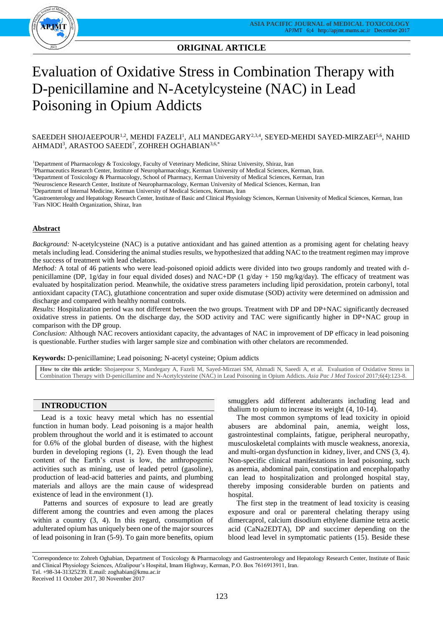

# **ORIGINAL ARTICLE**

# Evaluation of Oxidative Stress in Combination Therapy with D-penicillamine and N-Acetylcysteine (NAC) in Lead Poisoning in Opium Addicts

## $\mathbf S$ AEEDEH SHOJAEEPOUR $^{1,2}$ , MEHDI FAZELI $^1$ , ALI MANDEGARY $^{2,3,4}$ , SEYED-MEHDI SAYED-MIRZAEI $^{5,6}$ , NAHID AHMADI<sup>3</sup>, ARASTOO SAEEDI<sup>7</sup>, ZOHREH OGHABIAN<sup>3,6,\*</sup>

<sup>1</sup>Department of Pharmacology & Toxicology, Faculty of Veterinary Medicine, Shiraz University, Shiraz, Iran

<sup>2</sup>Pharmaceutics Research Center, Institute of Neuropharmacology, Kerman University of Medical Sciences, Kerman, Iran.

<sup>3</sup>Department of Toxicology & Pharmacology, School of Pharmacy, Kerman University of Medical Sciences, Kerman, Iran

<sup>4</sup>Neuroscience Research Center, Institute of Neuropharmacology, Kerman University of Medical Sciences, Kerman, Iran

<sup>5</sup>Departmrnt of Internal Medicine, Kerman University of Medical Sciences, Kerman, Iran

<sup>6</sup>Gastroenterology and Hepatology Research Center, Institute of Basic and Clinical Physiology Sciences, Kerman University of Medical Sciences, Kerman, Iran <sup>7</sup>Fars NIOC Health Organization, Shiraz, Iran

### **Abstract**

*Background:* N-acetylcysteine (NAC) is a putative antioxidant and has gained attention as a promising agent for chelating heavy metals including lead. Considering the animal studies results, we hypothesized that adding NAC to the treatment regimen may improve the success of treatment with lead chelators.

*Method:* A total of 46 patients who were lead-poisoned opioid addicts were divided into two groups randomly and treated with dpenicillamine (DP, 1g/day in four equal divided doses) and NAC+DP (1 g/day + 150 mg/kg/day). The efficacy of treatment was evaluated by hospitalization period. Meanwhile, the oxidative stress parameters including lipid peroxidation, protein carbonyl, total antioxidant capacity (TAC), glutathione concentration and super oxide dismutase (SOD) activity were determined on admission and discharge and compared with healthy normal controls.

*Results:* Hospitalization period was not different between the two groups. Treatment with DP and DP+NAC significantly decreased oxidative stress in patients. On the discharge day, the SOD activity and TAC were significantly higher in DP+NAC group in comparison with the DP group.

*Conclusion:* Although NAC recovers antioxidant capacity, the advantages of NAC in improvement of DP efficacy in lead poisoning is questionable. Further studies with larger sample size and combination with other chelators are recommended.

**Keywords:** D-penicillamine; Lead poisoning; N-acetyl cysteine; Opium addicts

**How to cite this article:** Shojaeepour S, Mandegary A, Fazeli M, Sayed-Mirzaei SM, Ahmadi N, Saeedi A, et al. Evaluation of Oxidative Stress in Combination Therapy with D-penicillamine and N-Acetylcysteine (NAC) in Lead Poisoning in Opium Addicts*. Asia Pac J Med Toxicol* 2017;6(4):123-8.

## **INTRODUCTION**

Lead is a toxic heavy metal which has no essential function in human body. Lead poisoning is a major health problem throughout the world and it is estimated to account for 0.6% of the global burden of disease, with the highest burden in developing regions (1, 2). Even though the lead content of the Earth's crust is low, the anthropogenic activities such as mining, use of leaded petrol (gasoline), production of lead-acid batteries and paints, and plumbing materials and alloys are the main cause of widespread existence of lead in the environment (1).

Patterns and sources of exposure to lead are greatly different among the countries and even among the places within a country (3, 4). In this regard, consumption of adulterated opium has uniquely been one of the major sources of lead poisoning in Iran (5-9). To gain more benefits, opium smugglers add different adulterants including lead and thalium to opium to increase its weight (4, 10-14).

The most common symptoms of lead toxicity in opioid abusers are abdominal pain, anemia, weight loss, gastrointestinal complaints, fatigue, peripheral neuropathy, musculoskeletal complaints with muscle weakness, anorexia, and multi-organ dysfunction in kidney, liver, and CNS (3, 4). Non-specific clinical manifestations in lead poisoning, such as anemia, abdominal pain, constipation and encephalopathy can lead to hospitalization and prolonged hospital stay, thereby imposing considerable burden on patients and hospital

The first step in the treatment of lead toxicity is ceasing exposure and oral or parenteral chelating therapy using dimercaprol, calcium disodium ethylene diamine tetra acetic acid (CaNa2EDTA), DP and succimer depending on the blood lead level in symptomatic patients (15). Beside these

Received 11 October 2017, 30 November 2017

<sup>\*</sup>Correspondence to: Zohreh Oghabian, Department of Toxicology & Pharmacology and Gastroenterology and Hepatology Research Center, Institute of Basic and Clinical Physiology Sciences, Afzalipour's Hospital, Imam Highway, Kerman, P.O. Box 7616913911, Iran. Tel. +98-34-31325239. E.mail: zoghabian@kmu.ac.ir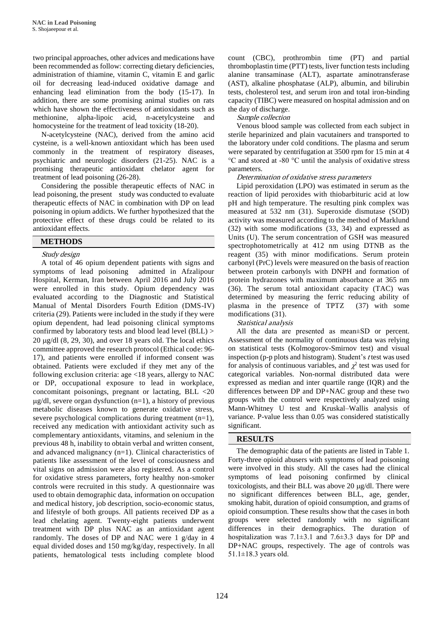two principal approaches, other advices and medications have been recommended as follow: correcting dietary deficiencies, administration of thiamine, vitamin C, vitamin E and garlic oil for decreasing lead-induced oxidative damage and enhancing lead elimination from the body (15-17). In addition, there are some promising animal studies on rats which have shown the effectiveness of antioxidants such as methionine, alpha-lipoic acid, n-acetylcysteine and homocysteine for the treatment of lead toxicity (18-20).

N-acetylcysteine (NAC), derived from the amino acid cysteine, is a well-known antioxidant which has been used commonly in the treatment of respiratory diseases, psychiatric and neurologic disorders (21-25). NAC is a promising therapeutic antioxidant chelator agent for treatment of lead poisoning (26-28).

Considering the possible therapeutic effects of NAC in lead poisoning, the present study was conducted to evaluate therapeutic effects of NAC in combination with DP on lead poisoning in opium addicts. We further hypothesized that the protective effect of these drugs could be related to its antioxidant effects.

## **METHODS**

## Study design

A total of 46 opium dependent patients with signs and symptoms of lead poisoning admitted in Afzalipour Hospital, Kerman, Iran between April 2016 and July 2016 were enrolled in this study. Opium dependency was evaluated according to the Diagnostic and Statistical Manual of Mental Disorders Fourth Edition (DMS-IV) criteria (29). Patients were included in the study if they were opium dependent, had lead poisoning clinical symptoms confirmed by laboratory tests and blood lead level (BLL) >  $20 \mu g/dl$  (8, 29, 30), and over 18 years old. The local ethics committee approved the research protocol (Ethical code: 96- 17), and patients were enrolled if informed consent was obtained. Patients were excluded if they met any of the following exclusion criteria: age <18 years, allergy to NAC or DP, occupational exposure to lead in workplace, concomitant poisonings, pregnant or lactating, BLL <20 g/dl, severe organ dysfunction (n=1), a history of previous metabolic diseases known to generate oxidative stress, severe psychological complications during treatment (n=1), received any medication with antioxidant activity such as complementary antioxidants, vitamins, and selenium in the previous 48 h, inability to obtain verbal and written consent, and advanced malignancy (n=1). Clinical characteristics of patients like assessment of the level of consciousness and vital signs on admission were also registered. As a control for oxidative stress parameters, forty healthy non-smoker controls were recruited in this study. A questionnaire was used to obtain demographic data, information on occupation and medical history, job description, socio-economic status, and lifestyle of both groups. All patients received DP as a lead chelating agent. Twenty-eight patients underwent treatment with DP plus NAC as an antioxidant agent randomly. The doses of DP and NAC were 1 g/day in 4 equal divided doses and 150 mg/kg/day, respectively. In all patients, hematological tests including complete blood

count (CBC), prothrombin time (PT) and partial thromboplastin time (PTT) tests, liver function tests including alanine transaminase (ALT), aspartate aminotransferase (AST), alkaline phosphatase (ALP), albumin, and bilirubin tests, cholesterol test, and serum iron and total iron-binding capacity (TIBC) were measured on hospital admission and on the day of discharge.

## Sample collection

Venous blood sample was collected from each subject in sterile heparinized and plain vacutainers and transported to the laboratory under cold conditions. The plasma and serum were separated by centrifugation at 3500 rpm for 15 min at 4 °C and stored at -80 °C until the analysis of oxidative stress parameters.

### Determination of oxidative stress parameters

Lipid peroxidation (LPO) was estimated in serum as the reaction of lipid peroxides with thiobarbituric acid at low pH and high temperature. The resulting pink complex was measured at 532 nm (31). Superoxide dismutase (SOD) activity was measured according to the method of Marklund (32) with some modifications (33, 34) and expressed as Units (U). The serum concentration of GSH was measured spectrophotometrically at 412 nm using DTNB as the reagent (35) with minor modifications. Serum protein carbonyl (PrC) levels were measured on the basis of reaction between protein carbonyls with DNPH and formation of protein hydrazones with maximum absorbance at 365 nm (36). The serum total antioxidant capacity (TAC) was determined by measuring the ferric reducing ability of plasma in the presence of TPTZ (37) with some modifications (31).

## Statistical analysis

All the data are presented as mean±SD or percent. Assessment of the normality of continuous data was relying on statistical tests (Kolmogorov-Smirnov test) and visual inspection (p-p plots and histogram). Student's t test was used for analysis of continuous variables, and  $\chi^2$  test was used for categorical variables. Non-normal distributed data were expressed as median and inter quartile range (IQR) and the differences between DP and DP+NAC group and these two groups with the control were respectively analyzed using Mann-Whitney U test and Kruskal–Wallis analysis of variance. P-value less than 0.05 was considered statistically significant.

## **RESULTS**

The demographic data of the patients are listed in Table 1. Forty-three opioid abusers with symptoms of lead poisoning were involved in this study. All the cases had the clinical symptoms of lead poisoning confirmed by clinical toxicologists, and their BLL was above  $20 \mu$ g/dl. There were no significant differences between BLL, age, gender, smoking habit, duration of opioid consumption, and grams of opioid consumption. These results show that the cases in both groups were selected randomly with no significant differences in their demographics. The duration of hospitalization was  $7.1\pm3.1$  and  $7.6\pm3.3$  days for DP and DP+NAC groups, respectively. The age of controls was 51.1±18.3 years old.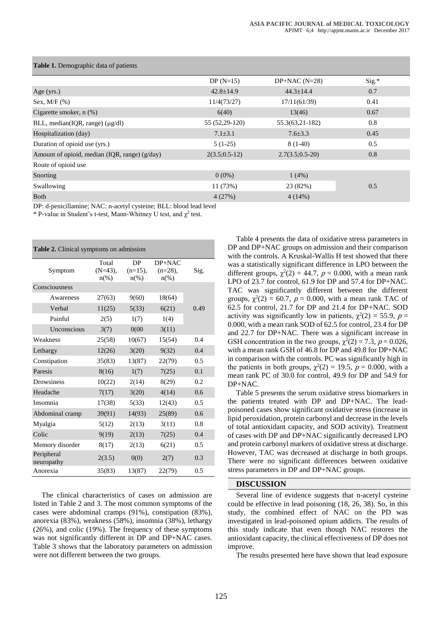| <b>rapid 1.</b> Define and the batteries      |                  |                   |       |
|-----------------------------------------------|------------------|-------------------|-------|
|                                               | $DP(N=15)$       | $DP+NAC (N=28)$   | Sig.* |
| Age $(yrs.)$                                  | $42.8 \pm 14.9$  | $44.3 \pm 14.4$   | 0.7   |
| Sex, $M/F$ $%$ )                              | 11/4(73/27)      | 17/11(61/39)      | 0.41  |
| Cigarette smoker, $n$ $(\%)$                  | 6(40)            | 13(46)            | 0.67  |
| BLL, median(IQR, range) $(\mu g/dl)$          | 55 (52,29-120)   | $55.3(63,21-182)$ | 0.8   |
| Hospitalization (day)                         | $7.1 \pm 3.1$    | $7.6 \pm 3.3$     | 0.45  |
| Duration of opioid use (yrs.)                 | $5(1-25)$        | $8(1-40)$         | 0.5   |
| Amount of opioid, median (IQR, range) (g/day) | $2(3.5; 0.5-12)$ | $2.7(3.5;0.5-20)$ | 0.8   |
| Route of opioid use                           |                  |                   |       |
| Snorting                                      | $0(0\%)$         | 1(4%)             |       |
| Swallowing                                    | 11 (73%)         | 23 (82%)          | 0.5   |
| <b>Both</b>                                   | 4(27%)           | 4(14%)            |       |
|                                               |                  |                   |       |

#### **Table 1.** Demographic data of patients

DP: d-penicillamine; NAC: n-acetyl cysteine; BLL: blood lead level

\* P-value in Student's t-test, Mann-Whitney U test, and  $\chi^2$  test.

| <b>Table 2.</b> Clinical symptoms on admission |                                |                                        |                                 |      |
|------------------------------------------------|--------------------------------|----------------------------------------|---------------------------------|------|
| Symptom                                        | Total<br>$(N=43)$ ,<br>$n(\%)$ | DP<br>$(n=15)$ ,<br>$n\left(\%\right)$ | DP+NAC<br>$(n=28)$ ,<br>$n(\%)$ | Sig. |
| Consciousness                                  |                                |                                        |                                 |      |
| Awareness                                      | 27(63)                         | 9(60)                                  | 18(64)                          |      |
| Verbal                                         | 11(25)                         | 5(33)                                  | 6(21)                           | 0.49 |
| Painful                                        | 2(5)                           | 1(7)                                   | 1(4)                            |      |
| Unconscious                                    | 3(7)                           | 0(00)                                  | 3(11)                           |      |
| Weakness                                       | 25(58)                         | 10(67)                                 | 15(54)                          | 0.4  |
| Lethargy                                       | 12(26)                         | 3(20)                                  | 9(32)                           | 0.4  |
| Constipation                                   | 35(83)                         | 13(87)                                 | 22(79)                          | 0.5  |
| Paresis                                        | 8(16)                          | 1(7)                                   | 7(25)                           | 0.1  |
| <b>Drowsiness</b>                              | 10(22)                         | 2(14)                                  | 8(29)                           | 0.2  |
| Headache                                       | 7(17)                          | 3(20)                                  | 4(14)                           | 0.6  |
| Insomnia                                       | 17(38)                         | 5(33)                                  | 12(43)                          | 0.5  |
| Abdominal cramp                                | 39(91)                         | 14(93)                                 | 25(89)                          | 0.6  |
| Myalgia                                        | 5(12)                          | 2(13)                                  | 3(11)                           | 0.8  |
| Colic                                          | 9(19)                          | 2(13)                                  | 7(25)                           | 0.4  |
| Memory disorder                                | 8(17)                          | 2(13)                                  | 6(21)                           | 0.5  |
| Peripheral<br>neuropathy                       | 2(3.5)                         | 0(0)                                   | 2(7)                            | 0.3  |
| Anorexia                                       | 35(83)                         | 13(87)                                 | 22(79)                          | 0.5  |

The clinical characteristics of cases on admission are listed in Table 2 and 3. The most common symptoms of the cases were abdominal cramps (91%), constipation (83%), anorexia (83%), weakness (58%), insomnia (38%), lethargy (26%), and colic (19%). The frequency of these symptoms was not significantly different in DP and DP+NAC cases. Table 3 shows that the laboratory parameters on admission were not different between the two groups.

Table 4 presents the data of oxidative stress parameters in DP and DP+NAC groups on admission and their comparison with the controls. A Kruskal-Wallis H test showed that there was a statistically significant difference in LPO between the different groups,  $\chi^2(2) = 44.7$ ,  $p = 0.000$ , with a mean rank LPO of 23.7 for control, 61.9 for DP and 57.4 for DP+NAC. TAC was significantly different between the different groups,  $\chi^2(2) = 60.7$ ,  $p = 0.000$ , with a mean rank TAC of 62.5 for control, 21.7 for DP and 21.4 for DP+NAC. SOD activity was significantly low in patients,  $\chi^2(2) = 55.9$ ,  $p =$ 0.000, with a mean rank SOD of 62.5 for control, 23.4 for DP and 22.7 for DP+NAC. There was a significant increase in GSH concentration in the two groups,  $\chi^2(2) = 7.3$ ,  $p = 0.026$ , with a mean rank GSH of 46.8 for DP and 49.8 for DP+NAC in comparison with the controls. PC was significantly high in the patients in both groups,  $\chi^2(2) = 19.5$ ,  $p = 0.000$ , with a mean rank PC of 30.0 for control, 49.9 for DP and 54.9 for DP+NAC.

Table 5 presents the serum oxidative stress biomarkers in the patients treated with DP and DP+NAC. The leadpoisoned cases show significant oxidative stress (increase in lipid peroxidation, protein carbonyl and decrease in the levels of total antioxidant capacity, and SOD activity). Treatment of cases with DP and DP+NAC significantly decreased LPO and protein carbonyl markers of oxidative stress at discharge. However, TAC was decreased at discharge in both groups. There were no significant differences between oxidative stress parameters in DP and DP+NAC groups.

#### **DISCUSSION**

Several line of evidence suggests that n-acetyl cysteine could be effective in lead poisoning (18, 26, 38). So, in this study, the combined effect of NAC on the PD was investigated in lead-poisoned opium addicts. The results of this study indicate that even though NAC restores the antioxidant capacity, the clinical effectiveness of DP does not improve.

The results presented here have shown that lead exposure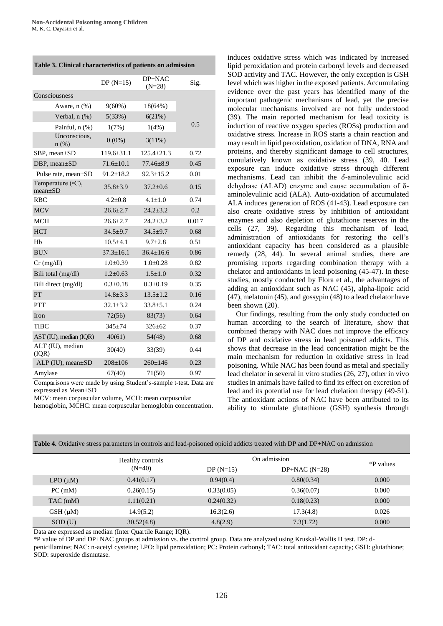#### **Table 3. Clinical characteristics of patients on admission**

|                                | $DP(N=15)$      | DP+NAC<br>$(N=28)$ | Sig.  |
|--------------------------------|-----------------|--------------------|-------|
| Consciousness                  |                 |                    |       |
| Aware, $n$ $(\%)$              | $9(60\%)$       | 18(64%)            |       |
| Verbal, $n$ $(\%)$             | 5(33%)          | 6(21%)             |       |
| Painful, n (%)                 | 1(7%)           | 1(4%)              | 0.5   |
| Unconscious,<br>n(%)           | $0(0\%)$        | 3(11%)             |       |
| SBP, mean±SD                   | $119.6 + 31.1$  | $125.4 + 21.3$     | 0.72  |
| DBP, mean±SD                   | $71.6 \pm 10.1$ | $77.46 \pm 8.9$    | 0.45  |
| Pulse rate, mean+SD            | $91.2 \pm 18.2$ | $92.3 \pm 15.2$    | 0.01  |
| Temperature (°C),<br>$mean+SD$ | $35.8 \pm 3.9$  | $37.2 \pm 0.6$     | 0.15  |
| <b>RBC</b>                     | $4.2 + 0.8$     | $4.1 + 1.0$        | 0.74  |
| <b>MCV</b>                     | $26.6 \pm 2.7$  | $24.2 + 3.2$       | 0.2   |
| <b>MCH</b>                     | $26.6 \pm 2.7$  | $24.2 + 3.2$       | 0.017 |
| <b>HCT</b>                     | $34.5 + 9.7$    | $34.5 + 9.7$       | 0.68  |
| Hb                             | $10.5 + 4.1$    | $9.7 \pm 2.8$      | 0.51  |
| <b>BUN</b>                     | $37.3 \pm 16.1$ | $36.4 \pm 16.6$    | 0.86  |
| $Cr$ (mg/dl)                   | $1.0+0.39$      | $1.0+0.28$         | 0.82  |
| Bili total (mg/dl)             | $1.2 \pm 0.63$  | $1.5 \pm 1.0$      | 0.32  |
| Bili direct (mg/dl)            | $0.3 \pm 0.18$  | $0.3 \pm 0.19$     | 0.35  |
| PT                             | $14.8 \pm 3.3$  | $13.5 \pm 1.2$     | 0.16  |
| <b>PTT</b>                     | $32.1 \pm 3.2$  | $33.8 + 5.1$       | 0.24  |
| Iron                           | 72(56)          | 83(73)             | 0.64  |
| <b>TIBC</b>                    | $345 + 74$      | $326 \pm 62$       | 0.37  |
| AST (IU), median (IQR)         | 40(61)          | 54(48)             | 0.68  |
| ALT (IU), median<br>(IQR)      | 30(40)          | 33(39)             | 0.44  |
| ALP (IU), mean±SD              | $208 \pm 106$   | $260 \pm 146$      | 0.23  |
| Amylase                        | 67(40)          | 71(50)             | 0.97  |

Comparisons were made by using Student's-sample t-test. Data are expressed as Mean±SD

MCV: mean corpuscular volume, MCH: mean corpuscular

hemoglobin, MCHC: mean corpuscular hemoglobin concentration.

induces oxidative stress which was indicated by increased lipid peroxidation and protein carbonyl levels and decreased SOD activity and TAC. However, the only exception is GSH level which was higher in the exposed patients. Accumulating evidence over the past years has identified many of the important pathogenic mechanisms of lead, yet the precise molecular mechanisms involved are not fully understood (39). The main reported mechanism for lead toxicity is induction of reactive oxygen species (ROSs) production and oxidative stress. Increase in ROS starts a chain reaction and may result in lipid peroxidation, oxidation of DNA, RNA and proteins, and thereby significant damage to cell structures, cumulatively known as oxidative stress (39, 40. Lead exposure can induce oxidative stress through different mechanisms. Lead can inhibit the  $\delta$ -aminolevulinic acid dehydrase (ALAD) enzyme and cause accumulation of δaminolevulinic acid (ALA). Auto-oxidation of accumulated ALA induces generation of ROS (41-43). Lead exposure can also create oxidative stress by inhibition of antioxidant enzymes and also depletion of glutathione reserves in the cells (27, 39). Regarding this mechanism of lead, administration of antioxidants for restoring the cell's antioxidant capacity has been considered as a plausible remedy (28, 44). In several animal studies, there are promising reports regarding combination therapy with a chelator and antioxidants in lead poisoning (45-47). In these studies, mostly conducted by Flora et al., the advantages of adding an antioxidant such as NAC (45), alpha-lipoic acid (47), melatonin (45), and gossypin (48) to a lead chelator have been shown (20).

Our findings, resulting from the only study conducted on human according to the search of literature, show that combined therapy with NAC does not improve the efficacy of DP and oxidative stress in lead poisoned addicts. This shows that decrease in the lead concentration might be the main mechanism for reduction in oxidative stress in lead poisoning. While NAC has been found as metal and specially lead chelator in several in vitro studies (26, 27), other in vivo studies in animals have failed to find its effect on excretion of lead and its potential use for lead chelation therapy (49-51). The antioxidant actions of NAC have been attributed to its ability to stimulate glutathione (GSH) synthesis through

| Table 4. Oxidative stress parameters in controls and lead-poisoned opioid addicts treated with DP and DP+NAC on admission |
|---------------------------------------------------------------------------------------------------------------------------|
|                                                                                                                           |

|              | Healthy controls | On admission |                 |           |
|--------------|------------------|--------------|-----------------|-----------|
|              | $(N=40)$         | $DP(N=15)$   | $DP+NAC (N=28)$ | *P values |
| $LPO(\mu M)$ | 0.41(0.17)       | 0.94(0.4)    | 0.80(0.34)      | 0.000     |
| $PC$ (mM)    | 0.26(0.15)       | 0.33(0.05)   | 0.36(0.07)      | 0.000     |
| $TAC$ (mM)   | 1.11(0.21)       | 0.24(0.32)   | 0.18(0.23)      | 0.000     |
| $GSH(\mu M)$ | 14.9(5.2)        | 16.3(2.6)    | 17.3(4.8)       | 0.026     |
| SOD(U)       | 30.52(4.8)       | 4.8(2.9)     | 7.3(1.72)       | 0.000     |

Data are expressed as median (Inter Quartile Range; IQR).

\*P value of DP and DP+NAC groups at admission vs. the control group. Data are analyzed using Kruskal-Wallis H test. DP: d-

penicillamine; NAC: n-acetyl cysteine; LPO: lipid peroxidation; PC: Protein carbonyl; TAC: total antioxidant capacity; GSH: glutathione; SOD: superoxide dismutase.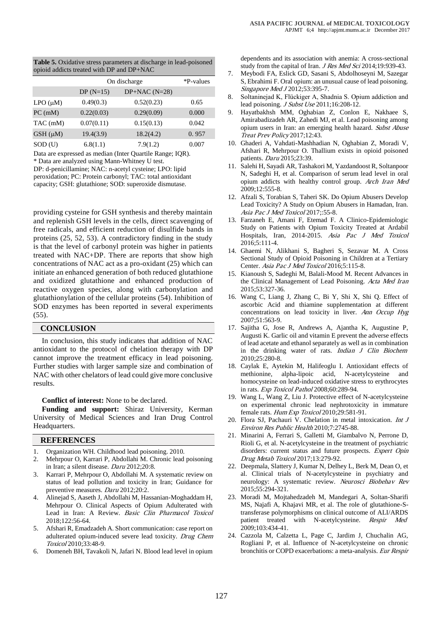| <b>Table 5.</b> Oxidative stress parameters at discharge in lead-poisoned |
|---------------------------------------------------------------------------|
| opioid addicts treated with DP and DP+NAC                                 |

|              | On discharge | *P-values       |       |
|--------------|--------------|-----------------|-------|
|              | $DP(N=15)$   | $DP+NAC (N=28)$ |       |
| $LPO(\mu M)$ | 0.49(0.3)    | 0.52(0.23)      | 0.65  |
| $PC$ (mM)    | 0.22(0.03)   | 0.29(0.09)      | 0.000 |
| TAC (mM)     | 0.07(0.11)   | 0.15(0.13)      | 0.042 |
| $GSH(\mu M)$ | 19.4(3.9)    | 18.2(4.2)       | 0.957 |
| $SOD$ (U)    | 6.8(1.1)     | 7.9(1.2)        | 0.007 |

Data are expressed as median (Inter Quartile Range; IQR). \* Data are analyzed using Mann-Whitney U test. DP: d-penicillamine; NAC: n-acetyl cysteine; LPO: lipid peroxidation; PC: Protein carbonyl; TAC: total antioxidant capacity; GSH: glutathione; SOD: superoxide dismutase.

providing cysteine for GSH synthesis and thereby maintain and replenish GSH levels in the cells, direct scavenging of free radicals, and efficient reduction of disulfide bands in proteins (25, 52, 53). A contradictory finding in the study is that the level of carbonyl protein was higher in patients treated with NAC+DP. There are reports that show high concentrations of NAC act as a pro-oxidant (25) which can initiate an enhanced generation of both reduced glutathione and oxidized glutathione and enhanced production of reactive oxygen species, along with carbonylation and glutathionylation of the cellular proteins (54). Inhibition of SOD enzymes has been reported in several experiments (55).

#### **CONCLUSION**

In conclusion, this study indicates that addition of NAC antioxidant to the protocol of chelation therapy with DP cannot improve the treatment efficacy in lead poisoning. Further studies with larger sample size and combination of NAC with other chelators of lead could give more conclusive results.

**Conflict of interest:** None to be declared.

**Funding and support:** Shiraz University, Kerman University of Medical Sciences and Iran Drug Control Headquarters.

#### **REFERENCES**

- 1. Organization WH. Childhood lead poisoning. 2010.
- 2. Mehrpour O, Karrari P, Abdollahi M. Chronic lead poisoning in Iran; a silent disease. Daru 2012;20:8.
- 3. Karrari P, Mehrpour O, Abdollahi M. A systematic review on status of lead pollution and toxicity in Iran; Guidance for preventive measures. Daru 2012;20:2.
- 4. Alinejad S, Aaseth J, Abdollahi M, Hassanian-Moghaddam H, Mehrpour O. Clinical Aspects of Opium Adulterated with Lead in Iran: A Review. Basic Clin Pharmacol Toxicol 2018;122:56-64.
- 5. Afshari R, Emadzadeh A. Short communication: case report on adulterated opium-induced severe lead toxicity. Drug Chem Toxicol 2010;33:48-9.
- 6. Domeneh BH, Tavakoli N, Jafari N. Blood lead level in opium

dependents and its association with anemia: A cross-sectional study from the capital of Iran. *J Res Med Sci* 2014;19:939-43.

- 7. Meybodi FA, Eslick GD, Sasani S, Abdolhoseyni M, Sazegar S, Ebrahimi F. Oral opium: an unusual cause of lead poisoning. Singapore Med J 2012;53:395-7.
- 8. Soltaninejad K, Flückiger A, Shadnia S. Opium addiction and lead poisoning. *J Subst Use* 2011;16:208-12.
- 9. Hayatbakhsh MM, Oghabian Z, Conlon E, Nakhaee S, Amirabadizadeh AR, Zahedi MJ, et al. Lead poisoning among opium users in Iran: an emerging health hazard. Subst Abuse Treat Prev Policy 2017;12:43.
- 10. Ghaderi A, Vahdati-Mashhadian N, Oghabian Z, Moradi V, Afshari R, Mehrpour O. Thallium exists in opioid poisoned patients. Daru 2015;23:39.
- 11. Salehi H, Sayadi AR, Tashakori M, Yazdandoost R, Soltanpoor N, Sadeghi H, et al. Comparison of serum lead level in oral opium addicts with healthy control group. Arch Iran Med 2009;12:555-8.
- 12. Afzali S, Torabian S, Taheri SK. Do Opium Abusers Develop Lead Toxicity? A Study on Opium Abusers in Hamadan, Iran. Asia Pac J Med Toxicol 2017;:55-8.
- 13. Farzaneh E, Amani F, Etemad F. A Clinico-Epidemiologic Study on Patients with Opium Toxicity Treated at Ardabil Hospitals, Iran, 2014-2015. Asia Pac J Med Toxicol 2016;5:111-4.
- 14. Ghaemi N, Alikhani S, Bagheri S, Sezavar M. A Cross Sectional Study of Opioid Poisoning in Children at a Tertiary Center. Asia Pac J Med Toxicol 2016;5:115-8.
- 15. Kianoush S, Sadeghi M, Balali-Mood M. Recent Advances in the Clinical Management of Lead Poisoning. Acta Med Iran 2015;53:327-36.
- 16. Wang C, Liang J, Zhang C, Bi Y, Shi X, Shi Q. Effect of ascorbic Acid and thiamine supplementation at different concentrations on lead toxicity in liver. Ann Occup Hyg 2007;51:563-9.
- 17. Sajitha G, Jose R, Andrews A, Ajantha K, Augustine P, Augusti K. Garlic oil and vitamin E prevent the adverse effects of lead acetate and ethanol separately as well as in combination in the drinking water of rats. Indian J Clin Biochem 2010;25:280-8.
- 18. Caylak E, Aytekin M, Halifeoglu I. Antioxidant effects of methionine, alpha-lipoic acid, N-acetylcysteine and homocysteine on lead-induced oxidative stress to erythrocytes in rats. Exp Toxicol Pathol 2008;60:289-94.
- 19. Wang L, Wang Z, Liu J. Protective effect of N-acetylcysteine on experimental chronic lead nephrotoxicity in immature female rats. Hum Exp Toxicol 2010;29:581-91.
- 20. Flora SJ, Pachauri V. Chelation in metal intoxication. Int J Environ Res Public Health 2010;7:2745-88.
- 21. Minarini A, Ferrari S, Galletti M, Giambalvo N, Perrone D, Rioli G, et al. N-acetylcysteine in the treatment of psychiatric disorders: current status and future prospects. Expert Opin Drug Metab Toxicol 2017;13:279-92.
- 22. Deepmala, Slattery J, Kumar N, Delhey L, Berk M, Dean O, et al. Clinical trials of N-acetylcysteine in psychiatry and neurology: A systematic review. Neurosci Biobehav Rev 2015;55:294-321.
- 23. Moradi M, Mojtahedzadeh M, Mandegari A, Soltan-Sharifi MS, Najafi A, Khajavi MR, et al. The role of glutathione-Stransferase polymorphisms on clinical outcome of ALI/ARDS patient treated with N-acetylcysteine. Respir Med 2009;103:434-41.
- 24. Cazzola M, Calzetta L, Page C, Jardim J, Chuchalin AG, Rogliani P, et al. Influence of N-acetylcysteine on chronic bronchitis or COPD exacerbations: a meta-analysis. Eur Respir